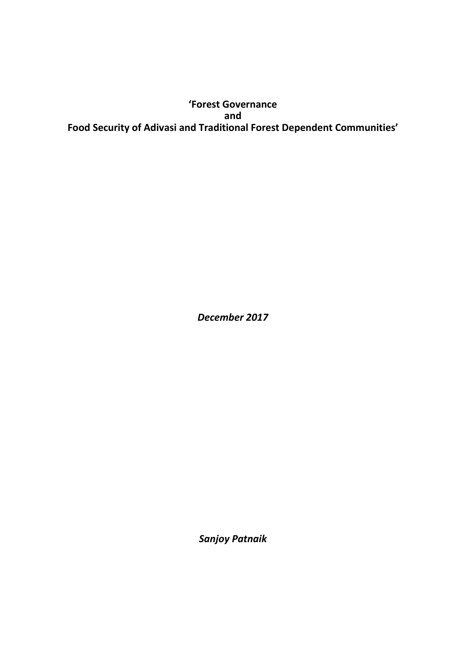# **'Forest Governance and Food Security of Adivasi and Traditional Forest Dependent Communities'**

*December 2017*

*Sanjoy Patnaik*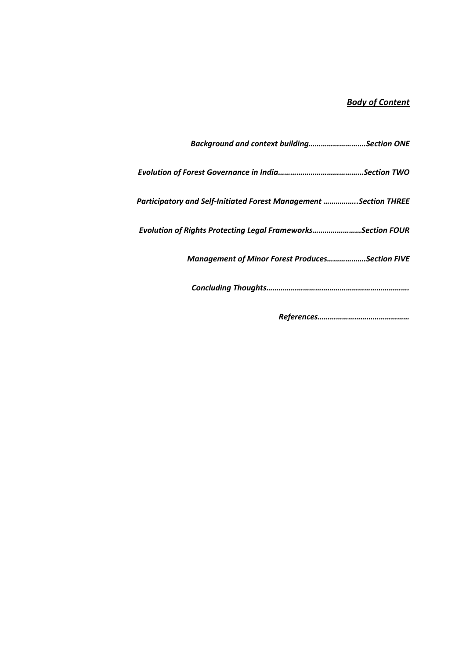# *Body of Content*

| Background and context buildingSection ONE                       |
|------------------------------------------------------------------|
|                                                                  |
| Participatory and Self-Initiated Forest Management Section THREE |
| Evolution of Rights Protecting Legal FrameworksSection FOUR      |
| <b>Management of Minor Forest ProducesSection FIVE</b>           |
|                                                                  |
|                                                                  |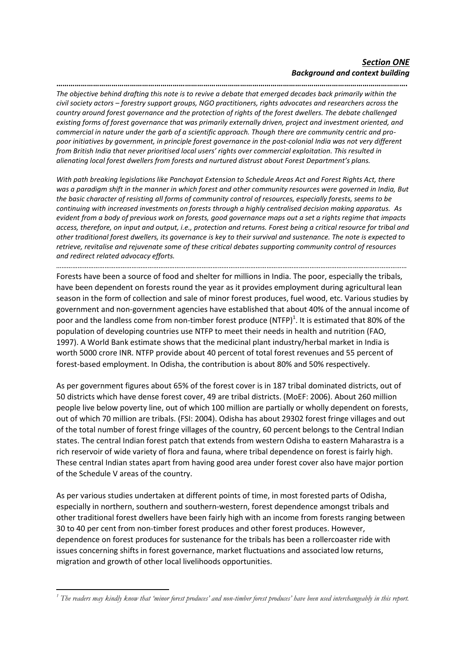**……………………………………………………………………………………………………………………………………………………….** *The objective behind drafting this note is to revive a debate that emerged decades back primarily within the civil society actors – forestry support groups, NGO practitioners, rights advocates and researchers across the country around forest governance and the protection of rights of the forest dwellers. The debate challenged existing forms of forest governance that was primarily externally driven, project and investment oriented, and commercial in nature under the garb of a scientific approach. Though there are community centric and propoor initiatives by government, in principle forest governance in the post-colonial India was not very different from British India that never prioritised local users' rights over commercial exploitation. This resulted in alienating local forest dwellers from forests and nurtured distrust about Forest Department's plans.* 

*With path breaking legislations like Panchayat Extension to Schedule Areas Act and Forest Rights Act, there was a paradigm shift in the manner in which forest and other community resources were governed in India, But the basic character of resisting all forms of community control of resources, especially forests, seems to be continuing with increased investments on forests through a highly centralised decision making apparatus. As evident from a body of previous work on forests, good governance maps out a set a rights regime that impacts access, therefore, on input and output, i.e., protection and returns. Forest being a critical resource for tribal and other traditional forest dwellers, its governance is key to their survival and sustenance. The note is expected to retrieve, revitalise and rejuvenate some of these critical debates supporting community control of resources and redirect related advocacy efforts.* 

*……………………………………………………………………………………………………………………………………………………………………………* Forests have been a source of food and shelter for millions in India. The poor, especially the tribals,

have been dependent on forests round the year as it provides employment during agricultural lean season in the form of collection and sale of minor forest produces, fuel wood, etc. Various studies by government and non-government agencies have established that about 40% of the annual income of poor and the landless come from non-timber forest produce (NTFP)<sup>1</sup>. It is estimated that 80% of the population of developing countries use NTFP to meet their needs in health and nutrition (FAO, 1997). A World Bank estimate shows that the medicinal plant industry/herbal market in India is worth 5000 crore INR. NTFP provide about 40 percent of total forest revenues and 55 percent of forest-based employment. In Odisha, the contribution is about 80% and 50% respectively.

As per government figures about 65% of the forest cover is in 187 tribal dominated districts, out of 50 districts which have dense forest cover, 49 are tribal districts. (MoEF: 2006). About 260 million people live below poverty line, out of which 100 million are partially or wholly dependent on forests, out of which 70 million are tribals. (FSI: 2004). Odisha has about 29302 forest fringe villages and out of the total number of forest fringe villages of the country, 60 percent belongs to the Central Indian states. The central Indian forest patch that extends from western Odisha to eastern Maharastra is a rich reservoir of wide variety of flora and fauna, where tribal dependence on forest is fairly high. These central Indian states apart from having good area under forest cover also have major portion of the Schedule V areas of the country.

As per various studies undertaken at different points of time, in most forested parts of Odisha, especially in northern, southern and southern-western, forest dependence amongst tribals and other traditional forest dwellers have been fairly high with an income from forests ranging between 30 to 40 per cent from non-timber forest produces and other forest produces. However, dependence on forest produces for sustenance for the tribals has been a rollercoaster ride with issues concerning shifts in forest governance, market fluctuations and associated low returns, migration and growth of other local livelihoods opportunities.

<sup>1</sup> *<sup>1</sup> The readers may kindly know that 'minor forest produces' and non-timber forest produces' have been used interchangeably in this report.*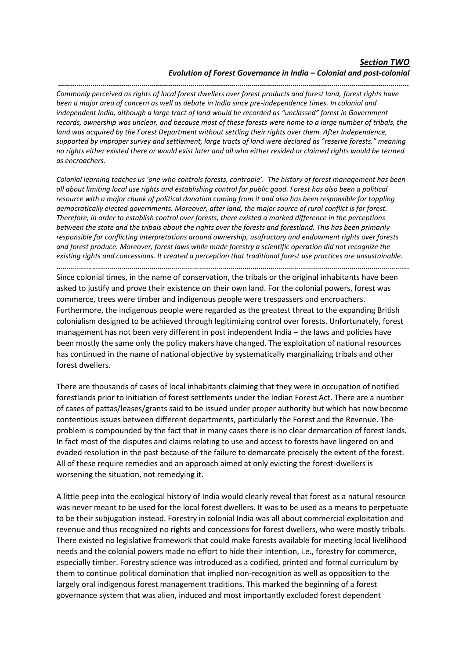*……………………………………………………………………………………………………………………………………………………….*

*Commonly perceived as rights of local forest dwellers over forest products and forest land, forest rights have been a major area of concern as well as debate in India since pre-independence times. In colonial and independent India, although a large tract of land would be recorded as "unclassed" forest in Government records, ownership was unclear, and because most of these forests were home to a large number of tribals, the land was acquired by the Forest Department without settling their rights over them. After Independence, supported by improper survey and settlement, large tracts of land were declared as "reserve forests," meaning no rights either existed there or would exist later and all who either resided or claimed rights would be termed as encroachers.*

*Colonial learning teaches us 'one who controls forests, controple'. The history of forest management has been all about limiting local use rights and establishing control for public good. Forest has also been a political resource with a major chunk of political donation coming from it and also has been responsible for toppling democratically elected governments. Moreover, after land, the major source of rural conflict is for forest. Therefore, in order to establish control over forests, there existed a marked difference in the perceptions between the state and the tribals about the rights over the forests and forestland. This has been primarily responsible for conflicting interpretations around ownership, usufructory and endowment rights over forests and forest produce. Moreover, forest laws while made forestry a scientific operation did not recognize the existing rights and concessions. It created a perception that traditional forest use practices are unsustainable.*

…………………………………………………………………………………………………………………………………………………………….

Since colonial times, in the name of conservation, the tribals or the original inhabitants have been asked to justify and prove their existence on their own land. For the colonial powers, forest was commerce, trees were timber and indigenous people were trespassers and encroachers. Furthermore, the indigenous people were regarded as the greatest threat to the expanding British colonialism designed to be achieved through legitimizing control over forests. Unfortunately, forest management has not been very different in post independent India – the laws and policies have been mostly the same only the policy makers have changed. The exploitation of national resources has continued in the name of national objective by systematically marginalizing tribals and other forest dwellers.

There are thousands of cases of local inhabitants claiming that they were in occupation of notified forestlands prior to initiation of forest settlements under the Indian Forest Act. There are a number of cases of pattas/leases/grants said to be issued under proper authority but which has now become contentious issues between different departments, particularly the Forest and the Revenue. The problem is compounded by the fact that in many cases there is no clear demarcation of forest lands. In fact most of the disputes and claims relating to use and access to forests have lingered on and evaded resolution in the past because of the failure to demarcate precisely the extent of the forest. All of these require remedies and an approach aimed at only evicting the forest-dwellers is worsening the situation, not remedying it.

A little peep into the ecological history of India would clearly reveal that forest as a natural resource was never meant to be used for the local forest dwellers. It was to be used as a means to perpetuate to be their subjugation instead. Forestry in colonial India was all about commercial exploitation and revenue and thus recognized no rights and concessions for forest dwellers, who were mostly tribals. There existed no legislative framework that could make forests available for meeting local livelihood needs and the colonial powers made no effort to hide their intention, i.e., forestry for commerce, especially timber. Forestry science was introduced as a codified, printed and formal curriculum by them to continue political domination that implied non-recognition as well as opposition to the largely oral indigenous forest management traditions. This marked the beginning of a forest governance system that was alien, induced and most importantly excluded forest dependent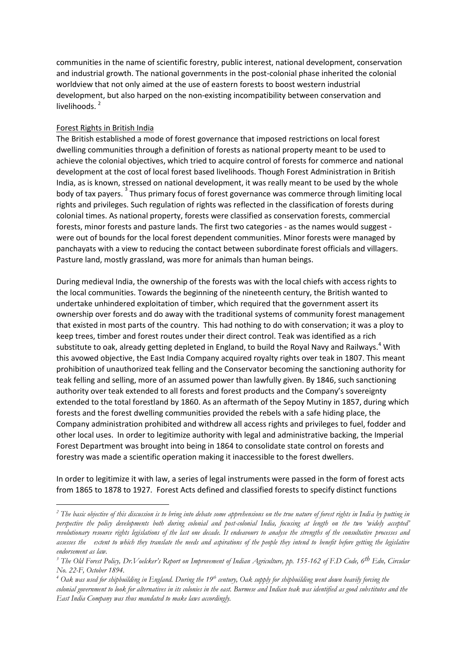communities in the name of scientific forestry, public interest, national development, conservation and industrial growth. The national governments in the post-colonial phase inherited the colonial worldview that not only aimed at the use of eastern forests to boost western industrial development, but also harped on the non-existing incompatibility between conservation and livelihoods.<sup>2</sup>

# Forest Rights in British India

1

The British established a mode of forest governance that imposed restrictions on local forest dwelling communities through a definition of forests as national property meant to be used to achieve the colonial objectives, which tried to acquire control of forests for commerce and national development at the cost of local forest based livelihoods. Though Forest Administration in British India, as is known, stressed on national development, it was really meant to be used by the whole body of tax payers. <sup>3</sup> Thus primary focus of forest governance was commerce through limiting local rights and privileges. Such regulation of rights was reflected in the classification of forests during colonial times. As national property, forests were classified as conservation forests, commercial forests, minor forests and pasture lands. The first two categories - as the names would suggest were out of bounds for the local forest dependent communities. Minor forests were managed by panchayats with a view to reducing the contact between subordinate forest officials and villagers. Pasture land, mostly grassland, was more for animals than human beings.

During medieval India, the ownership of the forests was with the local chiefs with access rights to the local communities. Towards the beginning of the nineteenth century, the British wanted to undertake unhindered exploitation of timber, which required that the government assert its ownership over forests and do away with the traditional systems of community forest management that existed in most parts of the country. This had nothing to do with conservation; it was a ploy to keep trees, timber and forest routes under their direct control. Teak was identified as a rich substitute to oak, already getting depleted in England, to build the Royal Navy and Railways.<sup>4</sup> With this avowed objective, the East India Company acquired royalty rights over teak in 1807. This meant prohibition of unauthorized teak felling and the Conservator becoming the sanctioning authority for teak felling and selling, more of an assumed power than lawfully given. By 1846, such sanctioning authority over teak extended to all forests and forest products and the Company's sovereignty extended to the total forestland by 1860. As an aftermath of the Sepoy Mutiny in 1857, during which forests and the forest dwelling communities provided the rebels with a safe hiding place, the Company administration prohibited and withdrew all access rights and privileges to fuel, fodder and other local uses. In order to legitimize authority with legal and administrative backing, the Imperial Forest Department was brought into being in 1864 to consolidate state control on forests and forestry was made a scientific operation making it inaccessible to the forest dwellers.

In order to legitimize it with law, a series of legal instruments were passed in the form of forest acts from 1865 to 1878 to 1927. Forest Acts defined and classified forests to specify distinct functions

<sup>&</sup>lt;sup>2</sup> The basic objective of this discussion is to bring into debate some apprehensions on the true nature of forest rights in India by putting in *perspective the policy developments both during colonial and post-colonial India, focusing at length on the two 'widely accepted' revolutionary resource rights legislations of the last one decade. It endeavours to analyse the strengths of the consultative processes and assesses the extent to which they translate the needs and aspirations of the people they intend to benefit before getting the legislative endorsement as law.* 

<sup>&</sup>lt;sup>3</sup> The Old Forest Policy, Dr. Voelcker's Report on Improvement of Indian Agriculture, pp. 155-162 of F.D Code, 6<sup>th</sup> Edn, Circular *No. 22-F, October 1894.*

*<sup>4</sup> Oak was used for shipbuilding in England. During the 19th century, Oak supply for shipbuilding went down heavily forcing the colonial government to look for alternatives in its colonies in the east. Burmese and Indian teak was identified as good substitutes and the East India Company was thus mandated to make laws accordingly.*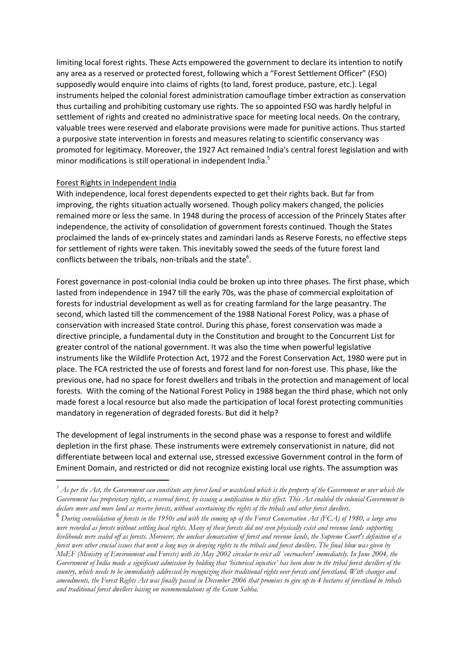limiting local forest rights. These Acts empowered the government to declare its intention to notify any area as a reserved or protected forest, following which a "Forest Settlement Officer" (FSO) supposedly would enquire into claims of rights (to land, forest produce, pasture, etc.). Legal instruments helped the colonial forest administration camouflage timber extraction as conservation thus curtailing and prohibiting customary use rights. The so appointed FSO was hardly helpful in settlement of rights and created no administrative space for meeting local needs. On the contrary, valuable trees were reserved and elaborate provisions were made for punitive actions. Thus started a purposive state intervention in forests and measures relating to scientific conservancy was promoted for legitimacy. Moreover, the 1927 Act remained India's central forest legislation and with minor modifications is still operational in independent India. $^5$ 

#### Forest Rights in Independent India

**.** 

With independence, local forest dependents expected to get their rights back. But far from improving, the rights situation actually worsened. Though policy makers changed, the policies remained more or less the same. In 1948 during the process of accession of the Princely States after independence, the activity of consolidation of government forests continued. Though the States proclaimed the lands of ex-princely states and zamindari lands as Reserve Forests, no effective steps for settlement of rights were taken. This inevitably sowed the seeds of the future forest land conflicts between the tribals, non-tribals and the state<sup>6</sup>.

Forest governance in post-colonial India could be broken up into three phases. The first phase, which lasted from independence in 1947 till the early 70s, was the phase of commercial exploitation of forests for industrial development as well as for creating farmland for the large peasantry. The second, which lasted till the commencement of the 1988 National Forest Policy, was a phase of conservation with increased State control. During this phase, forest conservation was made a directive principle, a fundamental duty in the Constitution and brought to the Concurrent List for greater control of the national government. It was also the time when powerful legislative instruments like the Wildlife Protection Act, 1972 and the Forest Conservation Act, 1980 were put in place. The FCA restricted the use of forests and forest land for non-forest use. This phase, like the previous one, had no space for forest dwellers and tribals in the protection and management of local forests. With the coming of the National Forest Policy in 1988 began the third phase, which not only made forest a local resource but also made the participation of local forest protecting communities mandatory in regeneration of degraded forests. But did it help?

The development of legal instruments in the second phase was a response to forest and wildlife depletion in the first phase. These instruments were extremely conservationist in nature, did not differentiate between local and external use, stressed excessive Government control in the form of Eminent Domain, and restricted or did not recognize existing local use rights. The assumption was

*<sup>5</sup> As per the Act, the Government can constitute any forest land or wasteland which is the property of the Government or over which the Government has proprietary rights, a reserved forest, by issuing a notification to this effect. This Act enabled the colonial Government to declare more and more land as reserve forests, without ascertaining the rights of the tribals and other forest dwellers.* 

<sup>6</sup> *During consolidation of forests in the 1950s and with the coming up of the Forest Conservation Act (FCA) of 1980, a large area were recorded as forests without settling local rights. Many of these forests did not even physically exist and revenue lands supporting livelihoods were sealed off as forests. Moreover, the unclear demarcation of forest and revenue lands, the Supreme Court's definition of a forest were other crucial issues that went a long way in denying rights to the tribals and forest dwellers. The final blow was given by MoEF (Ministry of Environment and Forests) with its May 2002 circular to evict all `encroachers' immediately. In June 2004, the Government of India made a significant admission by holding that 'historical injustice' has been done to the tribal forest dwellers of the country, which needs to be immediately addressed by recognizing their traditional rights over forests and forestland. With changes and*  amendments, the Forest Rights Act was finally passed in December 2006 that promises to give up to 4 hectares of forestland to tribals *and traditional forest dwellers basing on recommendations of the Gram Sabha.*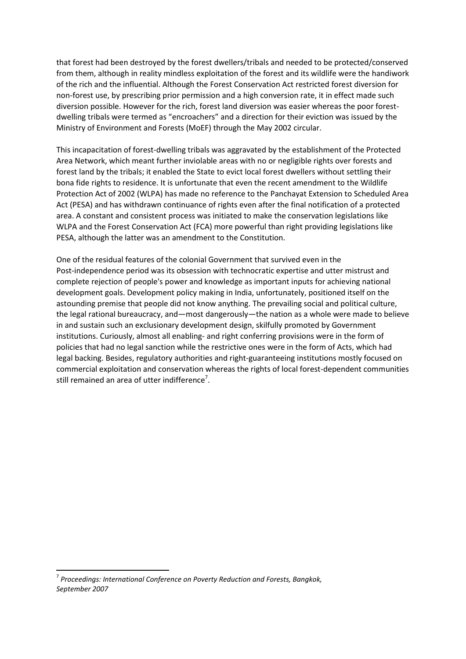that forest had been destroyed by the forest dwellers/tribals and needed to be protected/conserved from them, although in reality mindless exploitation of the forest and its wildlife were the handiwork of the rich and the influential. Although the Forest Conservation Act restricted forest diversion for non-forest use, by prescribing prior permission and a high conversion rate, it in effect made such diversion possible. However for the rich, forest land diversion was easier whereas the poor forestdwelling tribals were termed as "encroachers" and a direction for their eviction was issued by the Ministry of Environment and Forests (MoEF) through the May 2002 circular.

This incapacitation of forest-dwelling tribals was aggravated by the establishment of the Protected Area Network, which meant further inviolable areas with no or negligible rights over forests and forest land by the tribals; it enabled the State to evict local forest dwellers without settling their bona fide rights to residence. It is unfortunate that even the recent amendment to the Wildlife Protection Act of 2002 (WLPA) has made no reference to the Panchayat Extension to Scheduled Area Act (PESA) and has withdrawn continuance of rights even after the final notification of a protected area. A constant and consistent process was initiated to make the conservation legislations like WLPA and the Forest Conservation Act (FCA) more powerful than right providing legislations like PESA, although the latter was an amendment to the Constitution.

One of the residual features of the colonial Government that survived even in the Post-independence period was its obsession with technocratic expertise and utter mistrust and complete rejection of people's power and knowledge as important inputs for achieving national development goals. Development policy making in India, unfortunately, positioned itself on the astounding premise that people did not know anything. The prevailing social and political culture, the legal rational bureaucracy, and—most dangerously—the nation as a whole were made to believe in and sustain such an exclusionary development design, skilfully promoted by Government institutions. Curiously, almost all enabling- and right conferring provisions were in the form of policies that had no legal sanction while the restrictive ones were in the form of Acts, which had legal backing. Besides, regulatory authorities and right-guaranteeing institutions mostly focused on commercial exploitation and conservation whereas the rights of local forest-dependent communities still remained an area of utter indifference<sup>7</sup>.

**.** 

<sup>7</sup> *Proceedings: International Conference on Poverty Reduction and Forests, Bangkok, September 2007*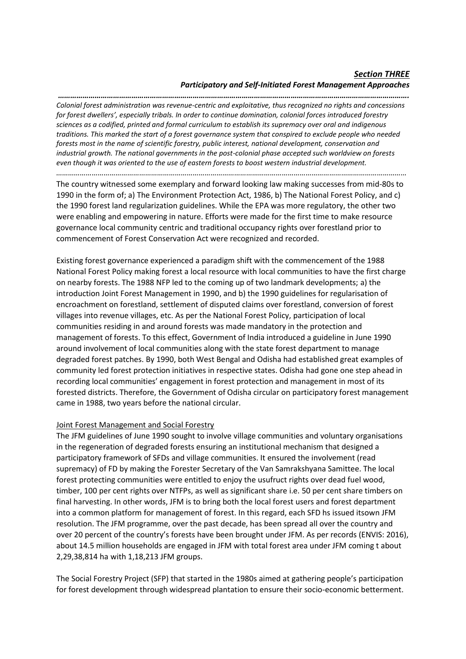# *Section THREE Participatory and Self-Initiated Forest Management Approaches*

*………………………………………………………………………………………………………………………………………………………. Colonial forest administration was revenue-centric and exploitative, thus recognized no rights and concessions for forest dwellers', especially tribals. In order to continue domination, colonial forces introduced forestry sciences as a codified, printed and formal curriculum to establish its supremacy over oral and indigenous traditions. This marked the start of a forest governance system that conspired to exclude people who needed forests most in the name of scientific forestry, public interest, national development, conservation and industrial growth. The national governments in the post-colonial phase accepted such worldview on forests even though it was oriented to the use of eastern forests to boost western industrial development. ……………………………………………………………………………………………………………………………………………………………*

The country witnessed some exemplary and forward looking law making successes from mid-80s to 1990 in the form of; a) The Environment Protection Act, 1986, b) The National Forest Policy, and c) the 1990 forest land regularization guidelines. While the EPA was more regulatory, the other two were enabling and empowering in nature. Efforts were made for the first time to make resource governance local community centric and traditional occupancy rights over forestland prior to commencement of Forest Conservation Act were recognized and recorded.

Existing forest governance experienced a paradigm shift with the commencement of the 1988 National Forest Policy making forest a local resource with local communities to have the first charge on nearby forests. The 1988 NFP led to the coming up of two landmark developments; a) the introduction Joint Forest Management in 1990, and b) the 1990 guidelines for regularisation of encroachment on forestland, settlement of disputed claims over forestland, conversion of forest villages into revenue villages, etc. As per the National Forest Policy, participation of local communities residing in and around forests was made mandatory in the protection and management of forests. To this effect, Government of India introduced a guideline in June 1990 around involvement of local communities along with the state forest department to manage degraded forest patches. By 1990, both West Bengal and Odisha had established great examples of community led forest protection initiatives in respective states. Odisha had gone one step ahead in recording local communities' engagement in forest protection and management in most of its forested districts. Therefore, the Government of Odisha circular on participatory forest management came in 1988, two years before the national circular.

# Joint Forest Management and Social Forestry

The JFM guidelines of June 1990 sought to involve village communities and voluntary organisations in the regeneration of degraded forests ensuring an institutional mechanism that designed a participatory framework of SFDs and village communities. It ensured the involvement (read supremacy) of FD by making the Forester Secretary of the Van Samrakshyana Samittee. The local forest protecting communities were entitled to enjoy the usufruct rights over dead fuel wood, timber, 100 per cent rights over NTFPs, as well as significant share i.e. 50 per cent share timbers on final harvesting. In other words, JFM is to bring both the local forest users and forest department into a common platform for management of forest. In this regard, each SFD hs issued itsown JFM resolution. The JFM programme, over the past decade, has been spread all over the country and over 20 percent of the country's forests have been brought under JFM. As per records (ENVIS: 2016), about 14.5 million households are engaged in JFM with total forest area under JFM coming t about 2,29,38,814 ha with 1,18,213 JFM groups.

The Social Forestry Project (SFP) that started in the 1980s aimed at gathering people's participation for forest development through widespread plantation to ensure their socio-economic betterment.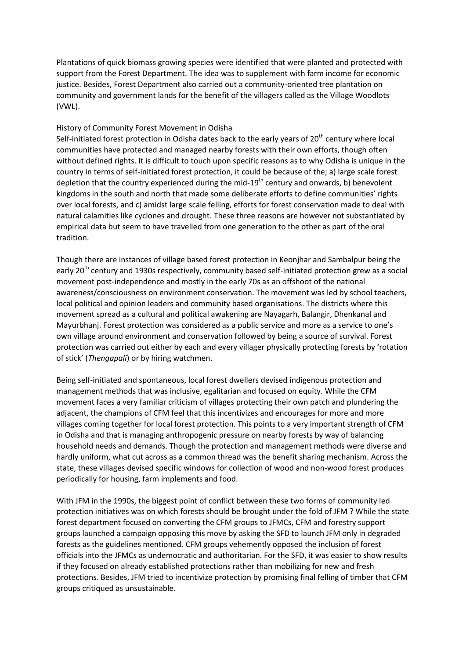Plantations of quick biomass growing species were identified that were planted and protected with support from the Forest Department. The idea was to supplement with farm income for economic justice. Besides, Forest Department also carried out a community-oriented tree plantation on community and government lands for the benefit of the villagers called as the Village Woodlots (VWL).

# History of Community Forest Movement in Odisha

Self-initiated forest protection in Odisha dates back to the early years of  $20<sup>th</sup>$  century where local communities have protected and managed nearby forests with their own efforts, though often without defined rights. It is difficult to touch upon specific reasons as to why Odisha is unique in the country in terms of self-initiated forest protection, it could be because of the; a) large scale forest depletion that the country experienced during the mid-19<sup>th</sup> century and onwards, b) benevolent kingdoms in the south and north that made some deliberate efforts to define communities' rights over local forests, and c) amidst large scale felling, efforts for forest conservation made to deal with natural calamities like cyclones and drought. These three reasons are however not substantiated by empirical data but seem to have travelled from one generation to the other as part of the oral tradition.

Though there are instances of village based forest protection in Keonjhar and Sambalpur being the early 20<sup>th</sup> century and 1930s respectively, community based self-initiated protection grew as a social movement post-independence and mostly in the early 70s as an offshoot of the national awareness/consciousness on environment conservation. The movement was led by school teachers, local political and opinion leaders and community based organisations. The districts where this movement spread as a cultural and political awakening are Nayagarh, Balangir, Dhenkanal and Mayurbhanj. Forest protection was considered as a public service and more as a service to one's own village around environment and conservation followed by being a source of survival. Forest protection was carried out either by each and every villager physically protecting forests by 'rotation of stick' (*Thengapali*) or by hiring watchmen.

Being self-initiated and spontaneous, local forest dwellers devised indigenous protection and management methods that was inclusive, egalitarian and focused on equity. While the CFM movement faces a very familiar criticism of villages protecting their own patch and plundering the adjacent, the champions of CFM feel that this incentivizes and encourages for more and more villages coming together for local forest protection. This points to a very important strength of CFM in Odisha and that is managing anthropogenic pressure on nearby forests by way of balancing household needs and demands. Though the protection and management methods were diverse and hardly uniform, what cut across as a common thread was the benefit sharing mechanism. Across the state, these villages devised specific windows for collection of wood and non-wood forest produces periodically for housing, farm implements and food.

With JFM in the 1990s, the biggest point of conflict between these two forms of community led protection initiatives was on which forests should be brought under the fold of JFM ? While the state forest department focused on converting the CFM groups to JFMCs, CFM and forestry support groups launched a campaign opposing this move by asking the SFD to launch JFM only in degraded forests as the guidelines mentioned. CFM groups vehemently opposed the inclusion of forest officials into the JFMCs as undemocratic and authoritarian. For the SFD, it was easier to show results if they focused on already established protections rather than mobilizing for new and fresh protections. Besides, JFM tried to incentivize protection by promising final felling of timber that CFM groups critiqued as unsustainable.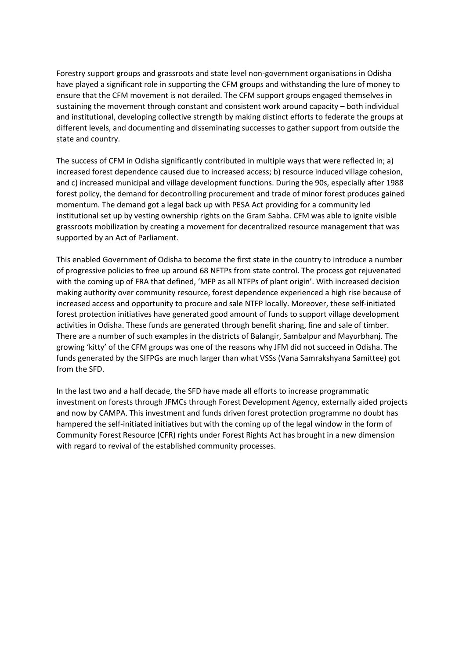Forestry support groups and grassroots and state level non-government organisations in Odisha have played a significant role in supporting the CFM groups and withstanding the lure of money to ensure that the CFM movement is not derailed. The CFM support groups engaged themselves in sustaining the movement through constant and consistent work around capacity – both individual and institutional, developing collective strength by making distinct efforts to federate the groups at different levels, and documenting and disseminating successes to gather support from outside the state and country.

The success of CFM in Odisha significantly contributed in multiple ways that were reflected in; a) increased forest dependence caused due to increased access; b) resource induced village cohesion, and c) increased municipal and village development functions. During the 90s, especially after 1988 forest policy, the demand for decontrolling procurement and trade of minor forest produces gained momentum. The demand got a legal back up with PESA Act providing for a community led institutional set up by vesting ownership rights on the Gram Sabha. CFM was able to ignite visible grassroots mobilization by creating a movement for decentralized resource management that was supported by an Act of Parliament.

This enabled Government of Odisha to become the first state in the country to introduce a number of progressive policies to free up around 68 NFTPs from state control. The process got rejuvenated with the coming up of FRA that defined, 'MFP as all NTFPs of plant origin'. With increased decision making authority over community resource, forest dependence experienced a high rise because of increased access and opportunity to procure and sale NTFP locally. Moreover, these self-initiated forest protection initiatives have generated good amount of funds to support village development activities in Odisha. These funds are generated through benefit sharing, fine and sale of timber. There are a number of such examples in the districts of Balangir, Sambalpur and Mayurbhanj. The growing 'kitty' of the CFM groups was one of the reasons why JFM did not succeed in Odisha. The funds generated by the SIFPGs are much larger than what VSSs (Vana Samrakshyana Samittee) got from the SFD.

In the last two and a half decade, the SFD have made all efforts to increase programmatic investment on forests through JFMCs through Forest Development Agency, externally aided projects and now by CAMPA. This investment and funds driven forest protection programme no doubt has hampered the self-initiated initiatives but with the coming up of the legal window in the form of Community Forest Resource (CFR) rights under Forest Rights Act has brought in a new dimension with regard to revival of the established community processes.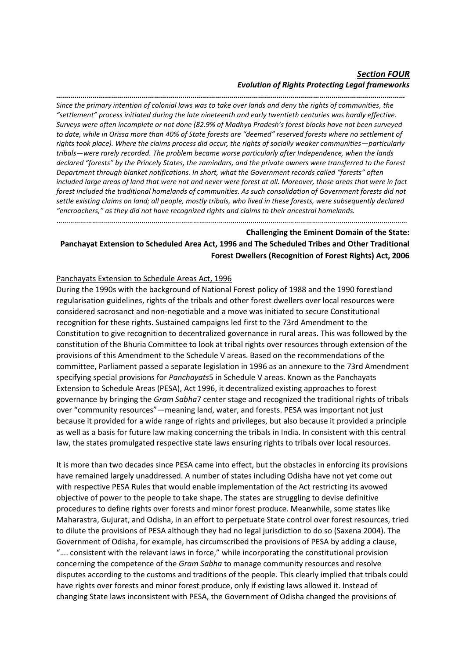# *Section FOUR Evolution of Rights Protecting Legal frameworks*

*……………………………………………………………………………………………………………………………………………………… Since the primary intention of colonial laws was to take over lands and deny the rights of communities, the "settlement" process initiated during the late nineteenth and early twentieth centuries was hardly effective. Surveys were often incomplete or not done (82.9% of Madhya Pradesh's forest blocks have not been surveyed to date, while in Orissa more than 40% of State forests are "deemed" reserved forests where no settlement of rights took place). Where the claims process did occur, the rights of socially weaker communities—particularly tribals—were rarely recorded. The problem became worse particularly after Independence, when the lands declared "forests" by the Princely States, the zamindars, and the private owners were transferred to the Forest Department through blanket notifications. In short, what the Government records called "forests" often included large areas of land that were not and never were forest at all. Moreover, those areas that were in fact forest included the traditional homelands of communities. As such consolidation of Government forests did not settle existing claims on land; all people, mostly tribals, who lived in these forests, were subsequently declared "encroachers," as they did not have recognized rights and claims to their ancestral homelands.*

# **Challenging the Eminent Domain of the State: Panchayat Extension to Scheduled Area Act, 1996 and The Scheduled Tribes and Other Traditional Forest Dwellers (Recognition of Forest Rights) Act, 2006**

……………………………………………………………………………………………………………………………………………………………

# Panchayats Extension to Schedule Areas Act, 1996

During the 1990s with the background of National Forest policy of 1988 and the 1990 forestland regularisation guidelines, rights of the tribals and other forest dwellers over local resources were considered sacrosanct and non-negotiable and a move was initiated to secure Constitutional recognition for these rights. Sustained campaigns led first to the 73rd Amendment to the Constitution to give recognition to decentralized governance in rural areas. This was followed by the constitution of the Bhuria Committee to look at tribal rights over resources through extension of the provisions of this Amendment to the Schedule V areas. Based on the recommendations of the committee, Parliament passed a separate legislation in 1996 as an annexure to the 73rd Amendment specifying special provisions for *Panchayats*5 in Schedule V areas. Known as the Panchayats Extension to Schedule Areas (PESA), Act 1996, it decentralized existing approaches to forest governance by bringing the *Gram Sabha*7 center stage and recognized the traditional rights of tribals over "community resources"—meaning land, water, and forests. PESA was important not just because it provided for a wide range of rights and privileges, but also because it provided a principle as well as a basis for future law making concerning the tribals in India. In consistent with this central law, the states promulgated respective state laws ensuring rights to tribals over local resources.

It is more than two decades since PESA came into effect, but the obstacles in enforcing its provisions have remained largely unaddressed. A number of states including Odisha have not yet come out with respective PESA Rules that would enable implementation of the Act restricting its avowed objective of power to the people to take shape. The states are struggling to devise definitive procedures to define rights over forests and minor forest produce. Meanwhile, some states like Maharastra, Gujurat, and Odisha, in an effort to perpetuate State control over forest resources, tried to dilute the provisions of PESA although they had no legal jurisdiction to do so (Saxena 2004). The Government of Odisha, for example, has circumscribed the provisions of PESA by adding a clause, "…. consistent with the relevant laws in force," while incorporating the constitutional provision concerning the competence of the *Gram Sabha* to manage community resources and resolve disputes according to the customs and traditions of the people. This clearly implied that tribals could have rights over forests and minor forest produce, only if existing laws allowed it. Instead of changing State laws inconsistent with PESA, the Government of Odisha changed the provisions of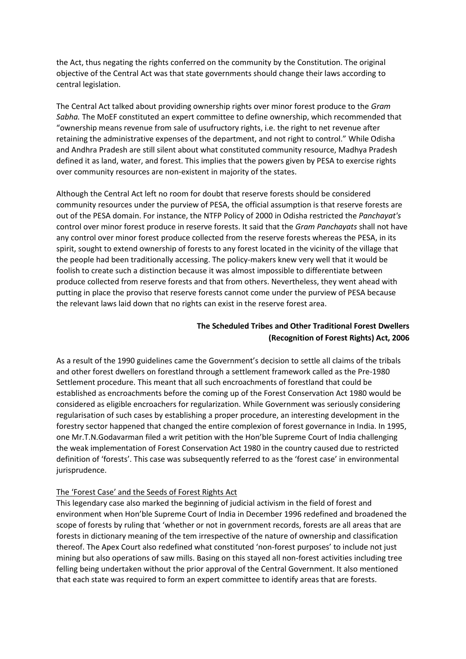the Act, thus negating the rights conferred on the community by the Constitution. The original objective of the Central Act was that state governments should change their laws according to central legislation.

The Central Act talked about providing ownership rights over minor forest produce to the *Gram Sabha.* The MoEF constituted an expert committee to define ownership, which recommended that "ownership means revenue from sale of usufructory rights, i.e. the right to net revenue after retaining the administrative expenses of the department, and not right to control." While Odisha and Andhra Pradesh are still silent about what constituted community resource, Madhya Pradesh defined it as land, water, and forest. This implies that the powers given by PESA to exercise rights over community resources are non-existent in majority of the states.

Although the Central Act left no room for doubt that reserve forests should be considered community resources under the purview of PESA, the official assumption is that reserve forests are out of the PESA domain. For instance, the NTFP Policy of 2000 in Odisha restricted the *Panchayat's*  control over minor forest produce in reserve forests. It said that the *Gram Panchayats* shall not have any control over minor forest produce collected from the reserve forests whereas the PESA, in its spirit, sought to extend ownership of forests to any forest located in the vicinity of the village that the people had been traditionally accessing. The policy-makers knew very well that it would be foolish to create such a distinction because it was almost impossible to differentiate between produce collected from reserve forests and that from others. Nevertheless, they went ahead with putting in place the proviso that reserve forests cannot come under the purview of PESA because the relevant laws laid down that no rights can exist in the reserve forest area.

# **The Scheduled Tribes and Other Traditional Forest Dwellers (Recognition of Forest Rights) Act, 2006**

As a result of the 1990 guidelines came the Government's decision to settle all claims of the tribals and other forest dwellers on forestland through a settlement framework called as the Pre-1980 Settlement procedure. This meant that all such encroachments of forestland that could be established as encroachments before the coming up of the Forest Conservation Act 1980 would be considered as eligible encroachers for regularization. While Government was seriously considering regularisation of such cases by establishing a proper procedure, an interesting development in the forestry sector happened that changed the entire complexion of forest governance in India. In 1995, one Mr.T.N.Godavarman filed a writ petition with the Hon'ble Supreme Court of India challenging the weak implementation of Forest Conservation Act 1980 in the country caused due to restricted definition of 'forests'. This case was subsequently referred to as the 'forest case' in environmental jurisprudence.

# The 'Forest Case' and the Seeds of Forest Rights Act

This legendary case also marked the beginning of judicial activism in the field of forest and environment when Hon'ble Supreme Court of India in December 1996 redefined and broadened the scope of forests by ruling that 'whether or not in government records, forests are all areas that are forests in dictionary meaning of the tem irrespective of the nature of ownership and classification thereof. The Apex Court also redefined what constituted 'non-forest purposes' to include not just mining but also operations of saw mills. Basing on this stayed all non-forest activities including tree felling being undertaken without the prior approval of the Central Government. It also mentioned that each state was required to form an expert committee to identify areas that are forests.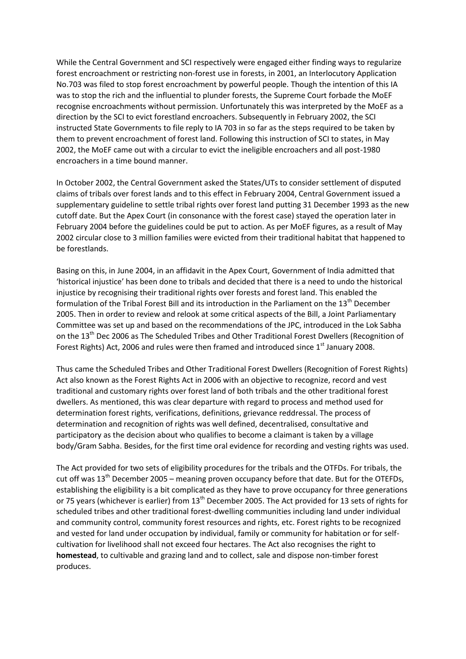While the Central Government and SCI respectively were engaged either finding ways to regularize forest encroachment or restricting non-forest use in forests, in 2001, an Interlocutory Application No.703 was filed to stop forest encroachment by powerful people. Though the intention of this IA was to stop the rich and the influential to plunder forests, the Supreme Court forbade the MoEF recognise encroachments without permission. Unfortunately this was interpreted by the MoEF as a direction by the SCI to evict forestland encroachers. Subsequently in February 2002, the SCI instructed State Governments to file reply to IA 703 in so far as the steps required to be taken by them to prevent encroachment of forest land. Following this instruction of SCI to states, in May 2002, the MoEF came out with a circular to evict the ineligible encroachers and all post-1980 encroachers in a time bound manner.

In October 2002, the Central Government asked the States/UTs to consider settlement of disputed claims of tribals over forest lands and to this effect in February 2004, Central Government issued a supplementary guideline to settle tribal rights over forest land putting 31 December 1993 as the new cutoff date. But the Apex Court (in consonance with the forest case) stayed the operation later in February 2004 before the guidelines could be put to action. As per MoEF figures, as a result of May 2002 circular close to 3 million families were evicted from their traditional habitat that happened to be forestlands.

Basing on this, in June 2004, in an affidavit in the Apex Court, Government of India admitted that 'historical injustice' has been done to tribals and decided that there is a need to undo the historical injustice by recognising their traditional rights over forests and forest land. This enabled the formulation of the Tribal Forest Bill and its introduction in the Parliament on the 13<sup>th</sup> December 2005. Then in order to review and relook at some critical aspects of the Bill, a Joint Parliamentary Committee was set up and based on the recommendations of the JPC, introduced in the Lok Sabha on the 13<sup>th</sup> Dec 2006 as The Scheduled Tribes and Other Traditional Forest Dwellers (Recognition of Forest Rights) Act, 2006 and rules were then framed and introduced since 1<sup>st</sup> January 2008.

Thus came the Scheduled Tribes and Other Traditional Forest Dwellers (Recognition of Forest Rights) Act also known as the Forest Rights Act in 2006 with an objective to recognize, record and vest traditional and customary rights over forest land of both tribals and the other traditional forest dwellers. As mentioned, this was clear departure with regard to process and method used for determination forest rights, verifications, definitions, grievance reddressal. The process of determination and recognition of rights was well defined, decentralised, consultative and participatory as the decision about who qualifies to become a claimant is taken by a village body/Gram Sabha. Besides, for the first time oral evidence for recording and vesting rights was used.

The Act provided for two sets of eligibility procedures for the tribals and the OTFDs. For tribals, the cut off was  $13<sup>th</sup>$  December 2005 – meaning proven occupancy before that date. But for the OTEFDs, establishing the eligibility is a bit complicated as they have to prove occupancy for three generations or 75 years (whichever is earlier) from 13<sup>th</sup> December 2005. The Act provided for 13 sets of rights for scheduled tribes and other traditional forest-dwelling communities including land under individual and community control, community forest resources and rights, etc. Forest rights to be recognized and vested for land under occupation by individual, family or community for habitation or for selfcultivation for livelihood shall not exceed four hectares. The Act also recognises the right to **homestead**, to cultivable and grazing land and to collect, sale and dispose non-timber forest produces.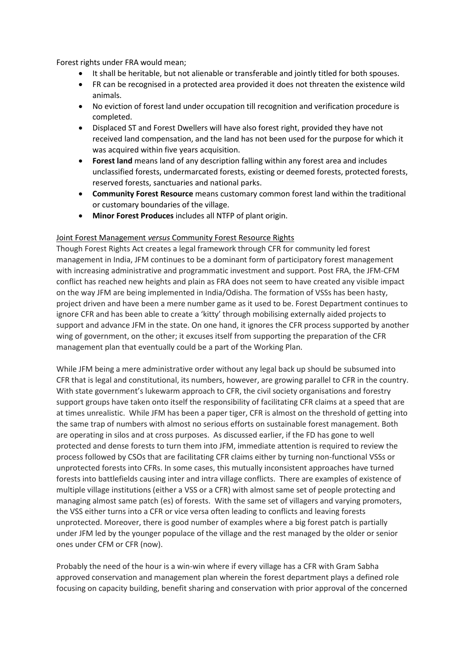Forest rights under FRA would mean;

- It shall be heritable, but not alienable or transferable and jointly titled for both spouses.
- FR can be recognised in a protected area provided it does not threaten the existence wild animals.
- No eviction of forest land under occupation till recognition and verification procedure is completed.
- Displaced ST and Forest Dwellers will have also forest right, provided they have not received land compensation, and the land has not been used for the purpose for which it was acquired within five years acquisition.
- **Forest land** means land of any description falling within any forest area and includes unclassified forests, undermarcated forests, existing or deemed forests, protected forests, reserved forests, sanctuaries and national parks.
- **Community Forest Resource** means customary common forest land within the traditional or customary boundaries of the village.
- **Minor Forest Produces** includes all NTFP of plant origin.

# Joint Forest Management *versus* Community Forest Resource Rights

Though Forest Rights Act creates a legal framework through CFR for community led forest management in India, JFM continues to be a dominant form of participatory forest management with increasing administrative and programmatic investment and support. Post FRA, the JFM-CFM conflict has reached new heights and plain as FRA does not seem to have created any visible impact on the way JFM are being implemented in India/Odisha. The formation of VSSs has been hasty, project driven and have been a mere number game as it used to be. Forest Department continues to ignore CFR and has been able to create a 'kitty' through mobilising externally aided projects to support and advance JFM in the state. On one hand, it ignores the CFR process supported by another wing of government, on the other; it excuses itself from supporting the preparation of the CFR management plan that eventually could be a part of the Working Plan.

While JFM being a mere administrative order without any legal back up should be subsumed into CFR that is legal and constitutional, its numbers, however, are growing parallel to CFR in the country. With state government's lukewarm approach to CFR, the civil society organisations and forestry support groups have taken onto itself the responsibility of facilitating CFR claims at a speed that are at times unrealistic. While JFM has been a paper tiger, CFR is almost on the threshold of getting into the same trap of numbers with almost no serious efforts on sustainable forest management. Both are operating in silos and at cross purposes. As discussed earlier, if the FD has gone to well protected and dense forests to turn them into JFM, immediate attention is required to review the process followed by CSOs that are facilitating CFR claims either by turning non-functional VSSs or unprotected forests into CFRs. In some cases, this mutually inconsistent approaches have turned forests into battlefields causing inter and intra village conflicts. There are examples of existence of multiple village institutions (either a VSS or a CFR) with almost same set of people protecting and managing almost same patch (es) of forests. With the same set of villagers and varying promoters, the VSS either turns into a CFR or vice versa often leading to conflicts and leaving forests unprotected. Moreover, there is good number of examples where a big forest patch is partially under JFM led by the younger populace of the village and the rest managed by the older or senior ones under CFM or CFR (now).

Probably the need of the hour is a win-win where if every village has a CFR with Gram Sabha approved conservation and management plan wherein the forest department plays a defined role focusing on capacity building, benefit sharing and conservation with prior approval of the concerned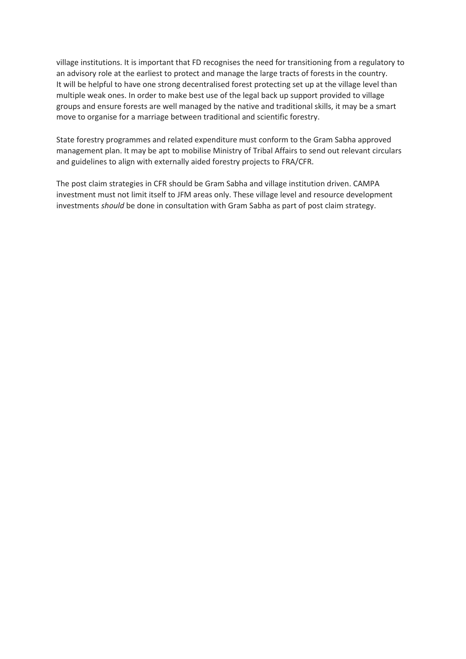village institutions. It is important that FD recognises the need for transitioning from a regulatory to an advisory role at the earliest to protect and manage the large tracts of forests in the country. It will be helpful to have one strong decentralised forest protecting set up at the village level than multiple weak ones. In order to make best use of the legal back up support provided to village groups and ensure forests are well managed by the native and traditional skills, it may be a smart move to organise for a marriage between traditional and scientific forestry.

State forestry programmes and related expenditure must conform to the Gram Sabha approved management plan. It may be apt to mobilise Ministry of Tribal Affairs to send out relevant circulars and guidelines to align with externally aided forestry projects to FRA/CFR.

The post claim strategies in CFR should be Gram Sabha and village institution driven. CAMPA investment must not limit itself to JFM areas only. These village level and resource development investments *should* be done in consultation with Gram Sabha as part of post claim strategy.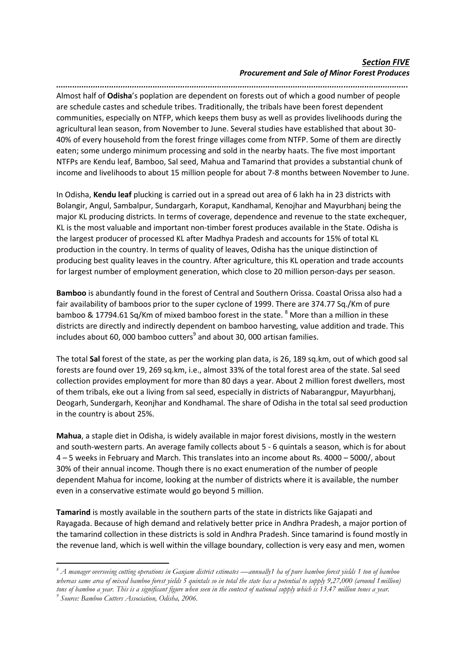# *Section FIVE Procurement and Sale of Minor Forest Produces*

*.........................................................................................................................................................* Almost half of **Odisha**'s poplation are dependent on forests out of which a good number of people are schedule castes and schedule tribes. Traditionally, the tribals have been forest dependent communities, especially on NTFP, which keeps them busy as well as provides livelihoods during the agricultural lean season, from November to June. Several studies have established that about 30- 40% of every household from the forest fringe villages come from NTFP. Some of them are directly eaten; some undergo minimum processing and sold in the nearby haats. The five most important NTFPs are Kendu leaf, Bamboo, Sal seed, Mahua and Tamarind that provides a substantial chunk of

income and livelihoods to about 15 million people for about 7-8 months between November to June.

In Odisha, **Kendu leaf** plucking is carried out in a spread out area of 6 lakh ha in 23 districts with Bolangir, Angul, Sambalpur, Sundargarh, Koraput, Kandhamal, Kenojhar and Mayurbhanj being the major KL producing districts. In terms of coverage, dependence and revenue to the state exchequer, KL is the most valuable and important non-timber forest produces available in the State. Odisha is the largest producer of processed KL after Madhya Pradesh and accounts for 15% of total KL production in the country. In terms of quality of leaves, Odisha has the unique distinction of producing best quality leaves in the country. After agriculture, this KL operation and trade accounts for largest number of employment generation, which close to 20 million person-days per season.

**Bamboo** is abundantly found in the forest of Central and Southern Orissa. Coastal Orissa also had a fair availability of bamboos prior to the super cyclone of 1999. There are 374.77 Sq./Km of pure bamboo & 17794.61 Sq/Km of mixed bamboo forest in the state. <sup>8</sup> More than a million in these districts are directly and indirectly dependent on bamboo harvesting, value addition and trade. This includes about 60, 000 bamboo cutters $^9$  and about 30, 000 artisan families.

The total **Sal** forest of the state, as per the working plan data, is 26, 189 sq.km, out of which good sal forests are found over 19, 269 sq.km, i.e., almost 33% of the total forest area of the state. Sal seed collection provides employment for more than 80 days a year. About 2 million forest dwellers, most of them tribals, eke out a living from sal seed, especially in districts of Nabarangpur, Mayurbhanj, Deogarh, Sundergarh, Keonjhar and Kondhamal. The share of Odisha in the total sal seed production in the country is about 25%.

**Mahua**, a staple diet in Odisha, is widely available in major forest divisions, mostly in the western and south-western parts. An average family collects about 5 - 6 quintals a season, which is for about 4 – 5 weeks in February and March. This translates into an income about Rs. 4000 – 5000/, about 30% of their annual income. Though there is no exact enumeration of the number of people dependent Mahua for income, looking at the number of districts where it is available, the number even in a conservative estimate would go beyond 5 million.

**Tamarind** is mostly available in the southern parts of the state in districts like Gajapati and Rayagada. Because of high demand and relatively better price in Andhra Pradesh, a major portion of the tamarind collection in these districts is sold in Andhra Pradesh. Since tamarind is found mostly in the revenue land, which is well within the village boundary, collection is very easy and men, women

1

*<sup>8</sup> A manager overseeing cutting operations in Ganjam district estimates —annually1 ha of pure bamboo forest yields 1 ton of bamboo whereas same area of mixed bamboo forest yields 5 quintals so in total the state has a potential to supply 9,27,000 (around 1million) tons of bamboo a year. This is a significant figure when seen in the context of national supply which is 13.47 million tones a year. 9 Source: Bamboo Cutters Association, Odisha, 2006.*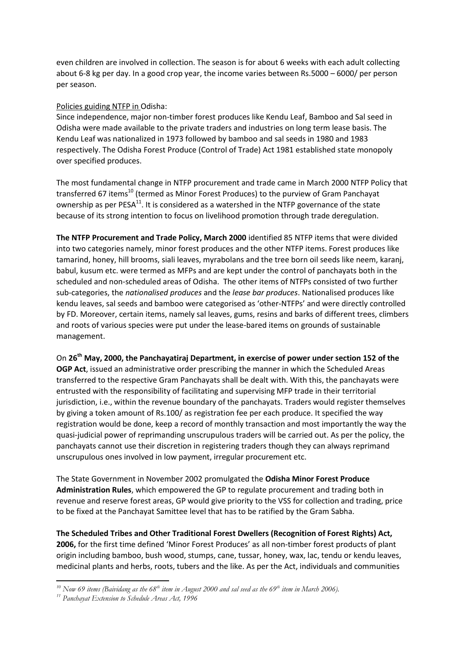even children are involved in collection. The season is for about 6 weeks with each adult collecting about 6-8 kg per day. In a good crop year, the income varies between Rs.5000 – 6000/ per person per season.

# Policies guiding NTFP in Odisha:

Since independence, major non-timber forest produces like Kendu Leaf, Bamboo and Sal seed in Odisha were made available to the private traders and industries on long term lease basis. The Kendu Leaf was nationalized in 1973 followed by bamboo and sal seeds in 1980 and 1983 respectively. The Odisha Forest Produce (Control of Trade) Act 1981 established state monopoly over specified produces.

The most fundamental change in NTFP procurement and trade came in March 2000 NTFP Policy that transferred 67 items<sup>10</sup> (termed as Minor Forest Produces) to the purview of Gram Panchayat ownership as per  $PESA<sup>11</sup>$ . It is considered as a watershed in the NTFP governance of the state because of its strong intention to focus on livelihood promotion through trade deregulation.

**The NTFP Procurement and Trade Policy, March 2000** identified 85 NTFP items that were divided into two categories namely, minor forest produces and the other NTFP items. Forest produces like tamarind, honey, hill brooms, siali leaves, myrabolans and the tree born oil seeds like neem, karanj, babul, kusum etc. were termed as MFPs and are kept under the control of panchayats both in the scheduled and non-scheduled areas of Odisha. The other items of NTFPs consisted of two further sub-categories, the *nationalised produces* and the *lease bar produces*. Nationalised produces like kendu leaves, sal seeds and bamboo were categorised as 'other-NTFPs' and were directly controlled by FD. Moreover, certain items, namely sal leaves, gums, resins and barks of different trees, climbers and roots of various species were put under the lease-bared items on grounds of sustainable management.

On **26th May, 2000, the Panchayatiraj Department, in exercise of power under section 152 of the OGP Act**, issued an administrative order prescribing the manner in which the Scheduled Areas transferred to the respective Gram Panchayats shall be dealt with. With this, the panchayats were entrusted with the responsibility of facilitating and supervising MFP trade in their territorial jurisdiction, i.e., within the revenue boundary of the panchayats. Traders would register themselves by giving a token amount of Rs.100/ as registration fee per each produce. It specified the way registration would be done, keep a record of monthly transaction and most importantly the way the quasi-judicial power of reprimanding unscrupulous traders will be carried out. As per the policy, the panchayats cannot use their discretion in registering traders though they can always reprimand unscrupulous ones involved in low payment, irregular procurement etc.

The State Government in November 2002 promulgated the **Odisha Minor Forest Produce Administration Rules**, which empowered the GP to regulate procurement and trading both in revenue and reserve forest areas, GP would give priority to the VSS for collection and trading, price to be fixed at the Panchayat Samittee level that has to be ratified by the Gram Sabha.

**The Scheduled Tribes and Other Traditional Forest Dwellers (Recognition of Forest Rights) Act, 2006,** for the first time defined 'Minor Forest Produces' as all non-timber forest products of plant origin including bamboo, bush wood, stumps, cane, tussar, honey, wax, lac, tendu or kendu leaves, medicinal plants and herbs, roots, tubers and the like. As per the Act, individuals and communities

<sup>1</sup> *<sup>10</sup> Now 69 items (Baividang as the 68th item in August 2000 and sal seed as the 69th item in March 2006).*

*<sup>11</sup> Panchayat Extension to Schedule Areas Act, 1996*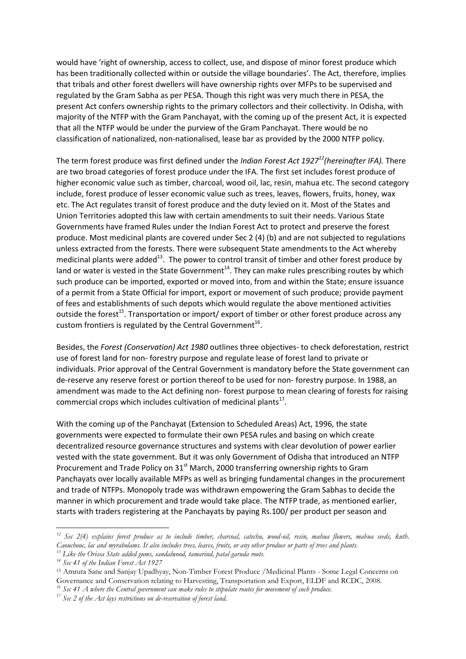would have 'right of ownership, access to collect, use, and dispose of minor forest produce which has been traditionally collected within or outside the village boundaries'. The Act, therefore, implies that tribals and other forest dwellers will have ownership rights over MFPs to be supervised and regulated by the Gram Sabha as per PESA. Though this right was very much there in PESA, the present Act confers ownership rights to the primary collectors and their collectivity. In Odisha, with majority of the NTFP with the Gram Panchayat, with the coming up of the present Act, it is expected that all the NTFP would be under the purview of the Gram Panchayat. There would be no classification of nationalized, non-nationalised, lease bar as provided by the 2000 NTFP policy.

The term forest produce was first defined under the *Indian Forest Act 1927<sup>12</sup>(hereinafter IFA).* There are two broad categories of forest produce under the IFA. The first set includes forest produce of higher economic value such as timber, charcoal, wood oil, lac, resin, mahua etc. The second category include, forest produce of lesser economic value such as trees, leaves, flowers, fruits, honey, wax etc. The Act regulates transit of forest produce and the duty levied on it. Most of the States and Union Territories adopted this law with certain amendments to suit their needs. Various State Governments have framed Rules under the Indian Forest Act to protect and preserve the forest produce. Most medicinal plants are covered under Sec 2 (4) (b) and are not subjected to regulations unless extracted from the forests. There were subsequent State amendments to the Act whereby medicinal plants were added $^{13}$ . The power to control transit of timber and other forest produce by land or water is vested in the State Government<sup>14</sup>. They can make rules prescribing routes by which such produce can be imported, exported or moved into, from and within the State; ensure issuance of a permit from a State Official for import, export or movement of such produce; provide payment of fees and establishments of such depots which would regulate the above mentioned activities outside the forest<sup>15</sup>. Transportation or import/ export of timber or other forest produce across any custom frontiers is regulated by the Central Government<sup>16</sup>.

Besides, the *Forest (Conservation) Act 1980* outlines three objectives- to check deforestation, restrict use of forest land for non- forestry purpose and regulate lease of forest land to private or individuals. Prior approval of the Central Government is mandatory before the State government can de-reserve any reserve forest or portion thereof to be used for non- forestry purpose. In 1988, an amendment was made to the Act defining non- forest purpose to mean clearing of forests for raising commercial crops which includes cultivation of medicinal plants $^{17}$ .

With the coming up of the Panchayat (Extension to Scheduled Areas) Act, 1996, the state governments were expected to formulate their own PESA rules and basing on which create decentralized resource governance structures and systems with clear devolution of power earlier vested with the state government. But it was only Government of Odisha that introduced an NTFP Procurement and Trade Policy on 31<sup>st</sup> March, 2000 transferring ownership rights to Gram Panchayats over locally available MFPs as well as bringing fundamental changes in the procurement and trade of NTFPs. Monopoly trade was withdrawn empowering the Gram Sabhas to decide the manner in which procurement and trade would take place. The NTFP trade, as mentioned earlier, starts with traders registering at the Panchayats by paying Rs.100/ per product per season and

1

*<sup>12</sup> Sec 2(4) explains forest produce as to include timber, charcoal, catechu, wood-oil, resin, mahua flowers, mahua seeds, kuth. Caouchouc, lac and myrabolams. It also includes trees, leaves, fruits, or any other produce or parts of trees and plants.* 

*<sup>13</sup> Like the Orissa State added gums, sandalwood, tamarind, patal garuda roots.* 

*<sup>14</sup> Sec 41 of the Indian Forest Act 1927*

<sup>15</sup> Amruta Sane and Sanjay Upadhyay, Non-Timber Forest Produce /Medicinal Plants - Some Legal Concerns on Governance and Conservation relating to Harvesting, Transportation and Export, ELDF and RCDC, 2008.

*<sup>16</sup> Sec 41 A where the Central government can make rules to stipulate routes for movement of such produce.* 

*<sup>17</sup> Sec 2 of the Act lays restrictions on de-reservation of forest land.*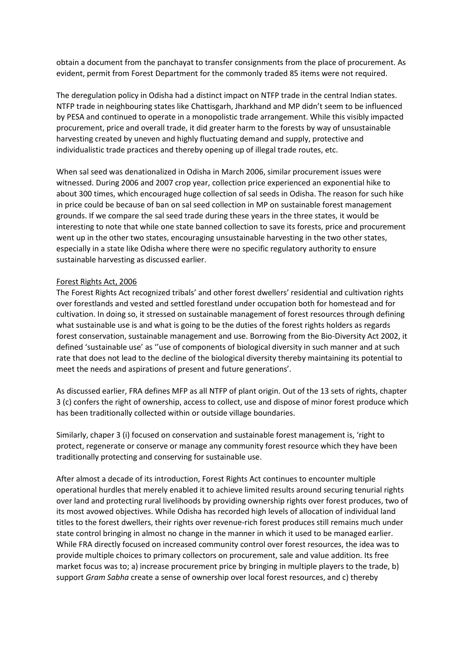obtain a document from the panchayat to transfer consignments from the place of procurement. As evident, permit from Forest Department for the commonly traded 85 items were not required.

The deregulation policy in Odisha had a distinct impact on NTFP trade in the central Indian states. NTFP trade in neighbouring states like Chattisgarh, Jharkhand and MP didn't seem to be influenced by PESA and continued to operate in a monopolistic trade arrangement. While this visibly impacted procurement, price and overall trade, it did greater harm to the forests by way of unsustainable harvesting created by uneven and highly fluctuating demand and supply, protective and individualistic trade practices and thereby opening up of illegal trade routes, etc.

When sal seed was denationalized in Odisha in March 2006, similar procurement issues were witnessed. During 2006 and 2007 crop year, collection price experienced an exponential hike to about 300 times, which encouraged huge collection of sal seeds in Odisha. The reason for such hike in price could be because of ban on sal seed collection in MP on sustainable forest management grounds. If we compare the sal seed trade during these years in the three states, it would be interesting to note that while one state banned collection to save its forests, price and procurement went up in the other two states, encouraging unsustainable harvesting in the two other states, especially in a state like Odisha where there were no specific regulatory authority to ensure sustainable harvesting as discussed earlier.

#### Forest Rights Act, 2006

The Forest Rights Act recognized tribals' and other forest dwellers' residential and cultivation rights over forestlands and vested and settled forestland under occupation both for homestead and for cultivation. In doing so, it stressed on sustainable management of forest resources through defining what sustainable use is and what is going to be the duties of the forest rights holders as regards forest conservation, sustainable management and use. Borrowing from the Bio-Diversity Act 2002, it defined 'sustainable use' as ''use of components of biological diversity in such manner and at such rate that does not lead to the decline of the biological diversity thereby maintaining its potential to meet the needs and aspirations of present and future generations'.

As discussed earlier, FRA defines MFP as all NTFP of plant origin. Out of the 13 sets of rights, chapter 3 (c) confers the right of ownership, access to collect, use and dispose of minor forest produce which has been traditionally collected within or outside village boundaries.

Similarly, chaper 3 (i) focused on conservation and sustainable forest management is, 'right to protect, regenerate or conserve or manage any community forest resource which they have been traditionally protecting and conserving for sustainable use.

After almost a decade of its introduction, Forest Rights Act continues to encounter multiple operational hurdles that merely enabled it to achieve limited results around securing tenurial rights over land and protecting rural livelihoods by providing ownership rights over forest produces, two of its most avowed objectives. While Odisha has recorded high levels of allocation of individual land titles to the forest dwellers, their rights over revenue-rich forest produces still remains much under state control bringing in almost no change in the manner in which it used to be managed earlier. While FRA directly focused on increased community control over forest resources, the idea was to provide multiple choices to primary collectors on procurement, sale and value addition. Its free market focus was to; a) increase procurement price by bringing in multiple players to the trade, b) support *Gram Sabha* create a sense of ownership over local forest resources, and c) thereby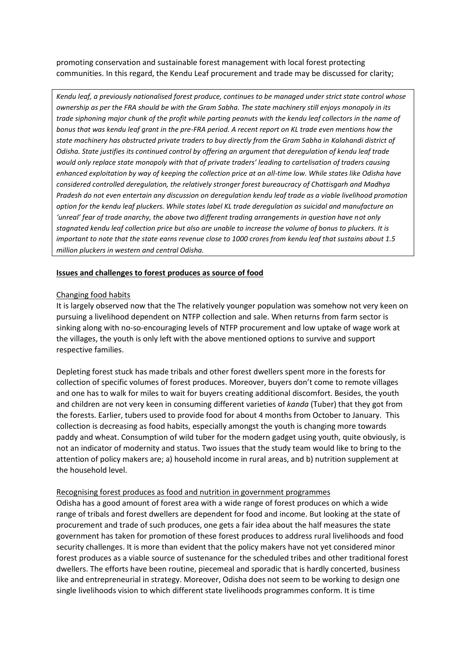promoting conservation and sustainable forest management with local forest protecting communities. In this regard, the Kendu Leaf procurement and trade may be discussed for clarity;

*Kendu leaf, a previously nationalised forest produce, continues to be managed under strict state control whose ownership as per the FRA should be with the Gram Sabha. The state machinery still enjoys monopoly in its trade siphoning major chunk of the profit while parting peanuts with the kendu leaf collectors in the name of bonus that was kendu leaf grant in the pre-FRA period. A recent report on KL trade even mentions how the state machinery has obstructed private traders to buy directly from the Gram Sabha in Kalahandi district of Odisha. State justifies its continued control by offering an argument that deregulation of kendu leaf trade would only replace state monopoly with that of private traders' leading to cartelisation of traders causing enhanced exploitation by way of keeping the collection price at an all-time low. While states like Odisha have considered controlled deregulation, the relatively stronger forest bureaucracy of Chattisgarh and Madhya Pradesh do not even entertain any discussion on deregulation kendu leaf trade as a viable livelihood promotion option for the kendu leaf pluckers. While states label KL trade deregulation as suicidal and manufacture an 'unreal' fear of trade anarchy, the above two different trading arrangements in question have not only stagnated kendu leaf collection price but also are unable to increase the volume of bonus to pluckers. It is important to note that the state earns revenue close to 1000 crores from kendu leaf that sustains about 1.5 million pluckers in western and central Odisha.*

#### **Issues and challenges to forest produces as source of food**

#### Changing food habits

It is largely observed now that the The relatively younger population was somehow not very keen on pursuing a livelihood dependent on NTFP collection and sale. When returns from farm sector is sinking along with no-so-encouraging levels of NTFP procurement and low uptake of wage work at the villages, the youth is only left with the above mentioned options to survive and support respective families.

Depleting forest stuck has made tribals and other forest dwellers spent more in the forests for collection of specific volumes of forest produces. Moreover, buyers don't come to remote villages and one has to walk for miles to wait for buyers creating additional discomfort. Besides, the youth and children are not very keen in consuming different varieties of *kanda* (Tuber) that they got from the forests. Earlier, tubers used to provide food for about 4 months from October to January. This collection is decreasing as food habits, especially amongst the youth is changing more towards paddy and wheat. Consumption of wild tuber for the modern gadget using youth, quite obviously, is not an indicator of modernity and status. Two issues that the study team would like to bring to the attention of policy makers are; a) household income in rural areas, and b) nutrition supplement at the household level.

### Recognising forest produces as food and nutrition in government programmes

Odisha has a good amount of forest area with a wide range of forest produces on which a wide range of tribals and forest dwellers are dependent for food and income. But looking at the state of procurement and trade of such produces, one gets a fair idea about the half measures the state government has taken for promotion of these forest produces to address rural livelihoods and food security challenges. It is more than evident that the policy makers have not yet considered minor forest produces as a viable source of sustenance for the scheduled tribes and other traditional forest dwellers. The efforts have been routine, piecemeal and sporadic that is hardly concerted, business like and entrepreneurial in strategy. Moreover, Odisha does not seem to be working to design one single livelihoods vision to which different state livelihoods programmes conform. It is time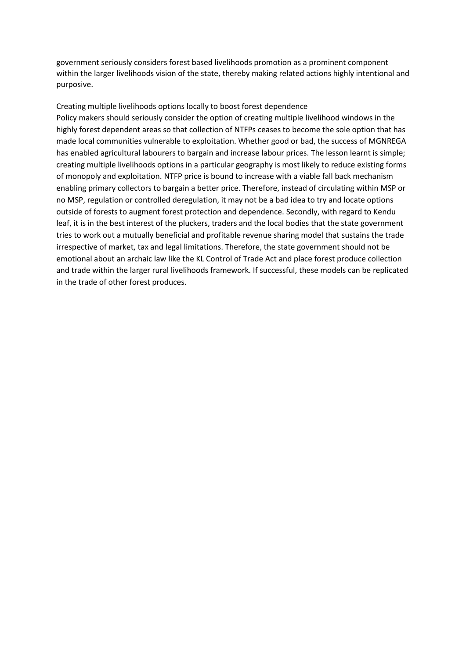government seriously considers forest based livelihoods promotion as a prominent component within the larger livelihoods vision of the state, thereby making related actions highly intentional and purposive.

# Creating multiple livelihoods options locally to boost forest dependence

Policy makers should seriously consider the option of creating multiple livelihood windows in the highly forest dependent areas so that collection of NTFPs ceases to become the sole option that has made local communities vulnerable to exploitation. Whether good or bad, the success of MGNREGA has enabled agricultural labourers to bargain and increase labour prices. The lesson learnt is simple; creating multiple livelihoods options in a particular geography is most likely to reduce existing forms of monopoly and exploitation. NTFP price is bound to increase with a viable fall back mechanism enabling primary collectors to bargain a better price. Therefore, instead of circulating within MSP or no MSP, regulation or controlled deregulation, it may not be a bad idea to try and locate options outside of forests to augment forest protection and dependence. Secondly, with regard to Kendu leaf, it is in the best interest of the pluckers, traders and the local bodies that the state government tries to work out a mutually beneficial and profitable revenue sharing model that sustains the trade irrespective of market, tax and legal limitations. Therefore, the state government should not be emotional about an archaic law like the KL Control of Trade Act and place forest produce collection and trade within the larger rural livelihoods framework. If successful, these models can be replicated in the trade of other forest produces.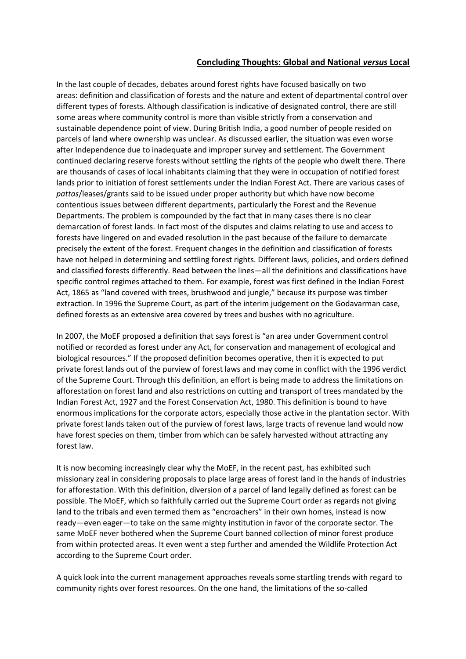# **Concluding Thoughts: Global and National** *versus* **Local**

In the last couple of decades, debates around forest rights have focused basically on two areas: definition and classification of forests and the nature and extent of departmental control over different types of forests. Although classification is indicative of designated control, there are still some areas where community control is more than visible strictly from a conservation and sustainable dependence point of view. During British India, a good number of people resided on parcels of land where ownership was unclear. As discussed earlier, the situation was even worse after Independence due to inadequate and improper survey and settlement. The Government continued declaring reserve forests without settling the rights of the people who dwelt there. There are thousands of cases of local inhabitants claiming that they were in occupation of notified forest lands prior to initiation of forest settlements under the Indian Forest Act. There are various cases of *pattas*/leases/grants said to be issued under proper authority but which have now become contentious issues between different departments, particularly the Forest and the Revenue Departments. The problem is compounded by the fact that in many cases there is no clear demarcation of forest lands. In fact most of the disputes and claims relating to use and access to forests have lingered on and evaded resolution in the past because of the failure to demarcate precisely the extent of the forest. Frequent changes in the definition and classification of forests have not helped in determining and settling forest rights. Different laws, policies, and orders defined and classified forests differently. Read between the lines—all the definitions and classifications have specific control regimes attached to them. For example, forest was first defined in the Indian Forest Act, 1865 as "land covered with trees, brushwood and jungle," because its purpose was timber extraction. In 1996 the Supreme Court, as part of the interim judgement on the Godavarman case, defined forests as an extensive area covered by trees and bushes with no agriculture.

In 2007, the MoEF proposed a definition that says forest is "an area under Government control notified or recorded as forest under any Act, for conservation and management of ecological and biological resources." If the proposed definition becomes operative, then it is expected to put private forest lands out of the purview of forest laws and may come in conflict with the 1996 verdict of the Supreme Court. Through this definition, an effort is being made to address the limitations on afforestation on forest land and also restrictions on cutting and transport of trees mandated by the Indian Forest Act, 1927 and the Forest Conservation Act, 1980. This definition is bound to have enormous implications for the corporate actors, especially those active in the plantation sector. With private forest lands taken out of the purview of forest laws, large tracts of revenue land would now have forest species on them, timber from which can be safely harvested without attracting any forest law.

It is now becoming increasingly clear why the MoEF, in the recent past, has exhibited such missionary zeal in considering proposals to place large areas of forest land in the hands of industries for afforestation. With this definition, diversion of a parcel of land legally defined as forest can be possible. The MoEF, which so faithfully carried out the Supreme Court order as regards not giving land to the tribals and even termed them as "encroachers" in their own homes, instead is now ready—even eager—to take on the same mighty institution in favor of the corporate sector. The same MoEF never bothered when the Supreme Court banned collection of minor forest produce from within protected areas. It even went a step further and amended the Wildlife Protection Act according to the Supreme Court order.

A quick look into the current management approaches reveals some startling trends with regard to community rights over forest resources. On the one hand, the limitations of the so-called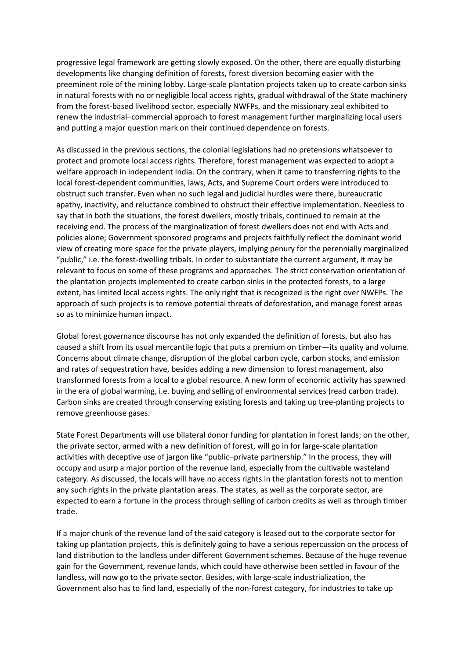progressive legal framework are getting slowly exposed. On the other, there are equally disturbing developments like changing definition of forests, forest diversion becoming easier with the preeminent role of the mining lobby. Large-scale plantation projects taken up to create carbon sinks in natural forests with no or negligible local access rights, gradual withdrawal of the State machinery from the forest-based livelihood sector, especially NWFPs, and the missionary zeal exhibited to renew the industrial–commercial approach to forest management further marginalizing local users and putting a major question mark on their continued dependence on forests.

As discussed in the previous sections, the colonial legislations had no pretensions whatsoever to protect and promote local access rights. Therefore, forest management was expected to adopt a welfare approach in independent India. On the contrary, when it came to transferring rights to the local forest-dependent communities, laws, Acts, and Supreme Court orders were introduced to obstruct such transfer. Even when no such legal and judicial hurdles were there, bureaucratic apathy, inactivity, and reluctance combined to obstruct their effective implementation. Needless to say that in both the situations, the forest dwellers, mostly tribals, continued to remain at the receiving end. The process of the marginalization of forest dwellers does not end with Acts and policies alone; Government sponsored programs and projects faithfully reflect the dominant world view of creating more space for the private players, implying penury for the perennially marginalized "public," i.e. the forest-dwelling tribals. In order to substantiate the current argument, it may be relevant to focus on some of these programs and approaches. The strict conservation orientation of the plantation projects implemented to create carbon sinks in the protected forests, to a large extent, has limited local access rights. The only right that is recognized is the right over NWFPs. The approach of such projects is to remove potential threats of deforestation, and manage forest areas so as to minimize human impact.

Global forest governance discourse has not only expanded the definition of forests, but also has caused a shift from its usual mercantile logic that puts a premium on timber—its quality and volume. Concerns about climate change, disruption of the global carbon cycle, carbon stocks, and emission and rates of sequestration have, besides adding a new dimension to forest management, also transformed forests from a local to a global resource. A new form of economic activity has spawned in the era of global warming, i.e. buying and selling of environmental services (read carbon trade). Carbon sinks are created through conserving existing forests and taking up tree-planting projects to remove greenhouse gases.

State Forest Departments will use bilateral donor funding for plantation in forest lands; on the other, the private sector, armed with a new definition of forest, will go in for large-scale plantation activities with deceptive use of jargon like "public–private partnership." In the process, they will occupy and usurp a major portion of the revenue land, especially from the cultivable wasteland category. As discussed, the locals will have no access rights in the plantation forests not to mention any such rights in the private plantation areas. The states, as well as the corporate sector, are expected to earn a fortune in the process through selling of carbon credits as well as through timber trade.

If a major chunk of the revenue land of the said category is leased out to the corporate sector for taking up plantation projects, this is definitely going to have a serious repercussion on the process of land distribution to the landless under different Government schemes. Because of the huge revenue gain for the Government, revenue lands, which could have otherwise been settled in favour of the landless, will now go to the private sector. Besides, with large-scale industrialization, the Government also has to find land, especially of the non-forest category, for industries to take up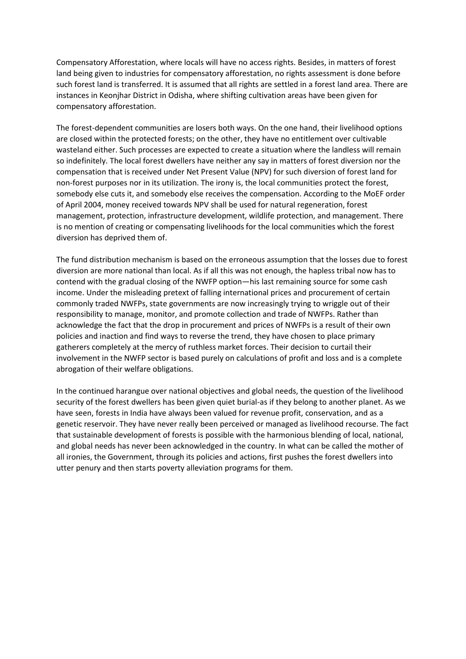Compensatory Afforestation, where locals will have no access rights. Besides, in matters of forest land being given to industries for compensatory afforestation, no rights assessment is done before such forest land is transferred. It is assumed that all rights are settled in a forest land area. There are instances in Keonjhar District in Odisha, where shifting cultivation areas have been given for compensatory afforestation.

The forest-dependent communities are losers both ways. On the one hand, their livelihood options are closed within the protected forests; on the other, they have no entitlement over cultivable wasteland either. Such processes are expected to create a situation where the landless will remain so indefinitely. The local forest dwellers have neither any say in matters of forest diversion nor the compensation that is received under Net Present Value (NPV) for such diversion of forest land for non-forest purposes nor in its utilization. The irony is, the local communities protect the forest, somebody else cuts it, and somebody else receives the compensation. According to the MoEF order of April 2004, money received towards NPV shall be used for natural regeneration, forest management, protection, infrastructure development, wildlife protection, and management. There is no mention of creating or compensating livelihoods for the local communities which the forest diversion has deprived them of.

The fund distribution mechanism is based on the erroneous assumption that the losses due to forest diversion are more national than local. As if all this was not enough, the hapless tribal now has to contend with the gradual closing of the NWFP option—his last remaining source for some cash income. Under the misleading pretext of falling international prices and procurement of certain commonly traded NWFPs, state governments are now increasingly trying to wriggle out of their responsibility to manage, monitor, and promote collection and trade of NWFPs. Rather than acknowledge the fact that the drop in procurement and prices of NWFPs is a result of their own policies and inaction and find ways to reverse the trend, they have chosen to place primary gatherers completely at the mercy of ruthless market forces. Their decision to curtail their involvement in the NWFP sector is based purely on calculations of profit and loss and is a complete abrogation of their welfare obligations.

In the continued harangue over national objectives and global needs, the question of the livelihood security of the forest dwellers has been given quiet burial-as if they belong to another planet. As we have seen, forests in India have always been valued for revenue profit, conservation, and as a genetic reservoir. They have never really been perceived or managed as livelihood recourse. The fact that sustainable development of forests is possible with the harmonious blending of local, national, and global needs has never been acknowledged in the country. In what can be called the mother of all ironies, the Government, through its policies and actions, first pushes the forest dwellers into utter penury and then starts poverty alleviation programs for them.